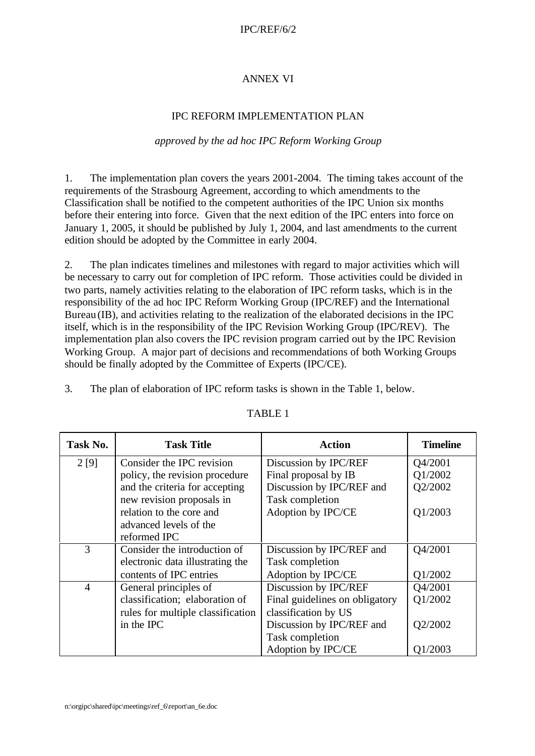## IPC/REF/6/2

## ANNEX VI

### IPC REFORM IMPLEMENTATION PLAN

#### *approved by the ad hoc IPC Reform Working Group*

1. The implementation plan covers the years 2001-2004. The timing takes account of the requirements of the Strasbourg Agreement, according to which amendments to the Classification shall be notified to the competent authorities of the IPC Union six months before their entering into force. Given that the next edition of the IPC enters into force on January 1, 2005, it should be published by July 1, 2004, and last amendments to the current edition should be adopted by the Committee in early 2004.

2. The plan indicates timelines and milestones with regard to major activities which will be necessary to carry out for completion of IPC reform. Those activities could be divided in two parts, namely activities relating to the elaboration of IPC reform tasks, which is in the responsibility of the ad hoc IPC Reform Working Group (IPC/REF) and the International Bureau (IB), and activities relating to the realization of the elaborated decisions in the IPC itself, which is in the responsibility of the IPC Revision Working Group (IPC/REV). The implementation plan also covers the IPC revision program carried out by the IPC Revision Working Group. A major part of decisions and recommendations of both Working Groups should be finally adopted by the Committee of Experts (IPC/CE).

3. The plan of elaboration of IPC reform tasks is shown in the Table 1, below.

| Task No.       | <b>Task Title</b>                 | <b>Action</b>                  | <b>Timeline</b> |
|----------------|-----------------------------------|--------------------------------|-----------------|
| 2[9]           | Consider the IPC revision         | Discussion by IPC/REF          | Q4/2001         |
|                | policy, the revision procedure    | Final proposal by IB           | Q1/2002         |
|                | and the criteria for accepting    | Discussion by IPC/REF and      | Q2/2002         |
|                | new revision proposals in         | Task completion                |                 |
|                | relation to the core and          | Adoption by IPC/CE             | Q1/2003         |
|                | advanced levels of the            |                                |                 |
|                | reformed IPC                      |                                |                 |
| 3              | Consider the introduction of      | Discussion by IPC/REF and      | Q4/2001         |
|                | electronic data illustrating the  | Task completion                |                 |
|                | contents of IPC entries           | Adoption by IPC/CE             | Q1/2002         |
| $\overline{4}$ | General principles of             | Discussion by IPC/REF          | Q4/2001         |
|                | classification; elaboration of    | Final guidelines on obligatory | Q1/2002         |
|                | rules for multiple classification | classification by US           |                 |
|                | in the IPC                        | Discussion by IPC/REF and      | Q2/2002         |
|                |                                   | Task completion                |                 |
|                |                                   | Adoption by IPC/CE             | Q1/2003         |

#### TABLE 1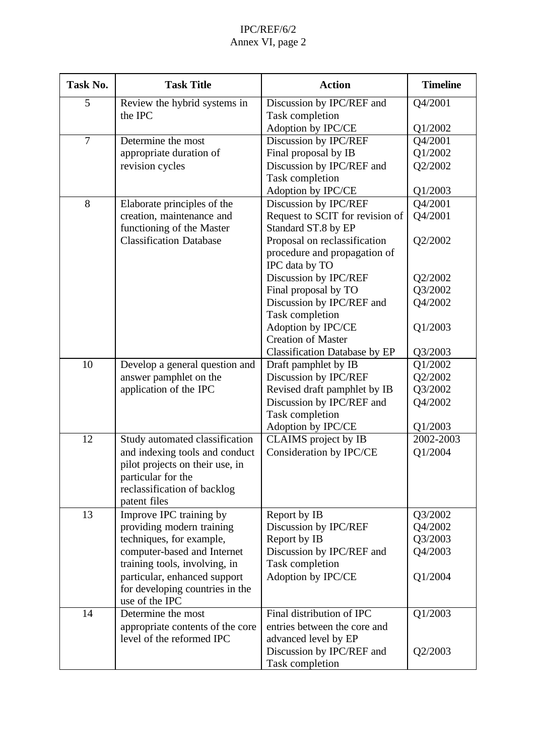# IPC/REF/6/2 Annex VI, page 2

| Task No.       | <b>Task Title</b>                                            | <b>Action</b>                                | <b>Timeline</b> |
|----------------|--------------------------------------------------------------|----------------------------------------------|-----------------|
| 5              | Review the hybrid systems in<br>the IPC                      | Discussion by IPC/REF and<br>Task completion | Q4/2001         |
|                |                                                              | Adoption by IPC/CE                           | Q1/2002         |
| $\overline{7}$ | Determine the most                                           | Discussion by IPC/REF                        | Q4/2001         |
|                | appropriate duration of                                      | Final proposal by IB                         | Q1/2002         |
|                | revision cycles                                              | Discussion by IPC/REF and                    | Q2/2002         |
|                |                                                              | Task completion                              |                 |
|                |                                                              | Adoption by IPC/CE                           | Q1/2003         |
| 8              | Elaborate principles of the                                  | Discussion by IPC/REF                        | Q4/2001         |
|                | creation, maintenance and                                    | Request to SCIT for revision of              | Q4/2001         |
|                | functioning of the Master                                    | Standard ST.8 by EP                          |                 |
|                | <b>Classification Database</b>                               | Proposal on reclassification                 | Q2/2002         |
|                |                                                              | procedure and propagation of                 |                 |
|                |                                                              | IPC data by TO                               |                 |
|                |                                                              | Discussion by IPC/REF                        | Q2/2002         |
|                |                                                              | Final proposal by TO                         | Q3/2002         |
|                |                                                              | Discussion by IPC/REF and                    | Q4/2002         |
|                |                                                              | Task completion<br>Adoption by IPC/CE        | Q1/2003         |
|                |                                                              | <b>Creation of Master</b>                    |                 |
|                |                                                              | <b>Classification Database by EP</b>         | Q3/2003         |
| 10             | Develop a general question and                               | Draft pamphlet by IB                         | Q1/2002         |
|                | answer pamphlet on the                                       | Discussion by IPC/REF                        | Q2/2002         |
|                | application of the IPC                                       | Revised draft pamphlet by IB                 | Q3/2002         |
|                |                                                              | Discussion by IPC/REF and                    | Q4/2002         |
|                |                                                              | Task completion                              |                 |
|                |                                                              | Adoption by IPC/CE                           | Q1/2003         |
| 12             | Study automated classification                               | CLAIMS project by IB                         | 2002-2003       |
|                | and indexing tools and conduct                               | Consideration by IPC/CE                      | Q1/2004         |
|                | pilot projects on their use, in                              |                                              |                 |
|                | particular for the                                           |                                              |                 |
|                | reclassification of backlog                                  |                                              |                 |
|                | patent files                                                 |                                              |                 |
| 13             | Improve IPC training by                                      | Report by IB                                 | Q3/2002         |
|                | providing modern training                                    | Discussion by IPC/REF                        | Q4/2002         |
|                | techniques, for example,                                     | Report by IB                                 | Q3/2003         |
|                | computer-based and Internet<br>training tools, involving, in | Discussion by IPC/REF and<br>Task completion | Q4/2003         |
|                | particular, enhanced support                                 | Adoption by IPC/CE                           | Q1/2004         |
|                | for developing countries in the                              |                                              |                 |
|                | use of the IPC                                               |                                              |                 |
| 14             | Determine the most                                           | Final distribution of IPC                    | Q1/2003         |
|                | appropriate contents of the core                             | entries between the core and                 |                 |
|                | level of the reformed IPC                                    | advanced level by EP                         |                 |
|                |                                                              | Discussion by IPC/REF and                    | Q2/2003         |
|                |                                                              | Task completion                              |                 |